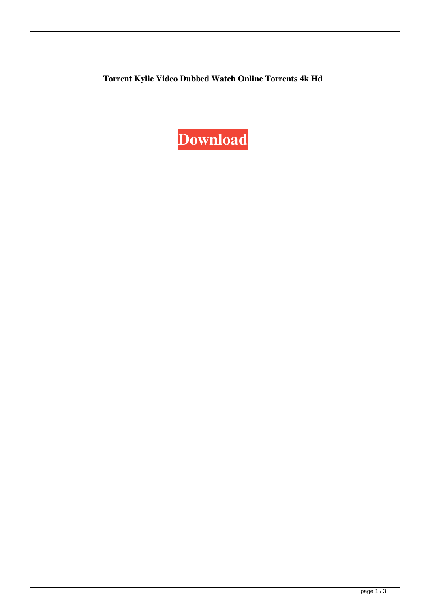**Torrent Kylie Video Dubbed Watch Online Torrents 4k Hd**

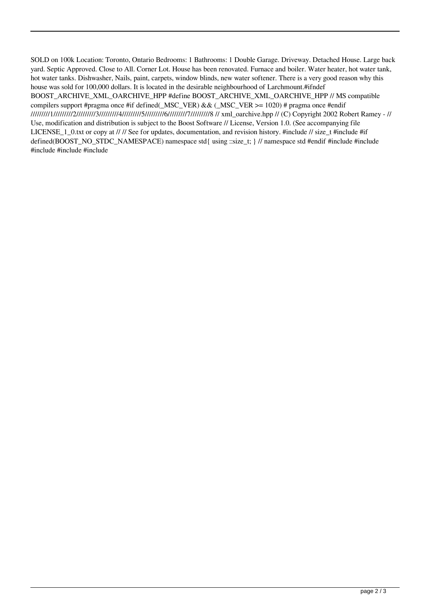SOLD on 100k Location: Toronto, Ontario Bedrooms: 1 Bathrooms: 1 Double Garage. Driveway. Detached House. Large back yard. Septic Approved. Close to All. Corner Lot. House has been renovated. Furnace and boiler. Water heater, hot water tank, hot water tanks. Dishwasher, Nails, paint, carpets, window blinds, new water softener. There is a very good reason why this house was sold for 100,000 dollars. It is located in the desirable neighbourhood of Larchmount.#ifndef BOOST\_ARCHIVE\_XML\_OARCHIVE\_HPP #define BOOST\_ARCHIVE\_XML\_OARCHIVE\_HPP // MS compatible compilers support #pragma once #if defined(\_MSC\_VER) && (\_MSC\_VER  $>= 1020$ ) # pragma once #endif /////////1/////////2/////////3/////////4/////////5/////////6/////////7/////////8 // xml\_oarchive.hpp // (C) Copyright 2002 Robert Ramey - // Use, modification and distribution is subject to the Boost Software // License, Version 1.0. (See accompanying file LICENSE 1\_0.txt or copy at // // See for updates, documentation, and revision history. #include // size\_t #include #if defined(BOOST\_NO\_STDC\_NAMESPACE) namespace std{ using ::size\_t; } // namespace std #endif #include #include #include #include #include